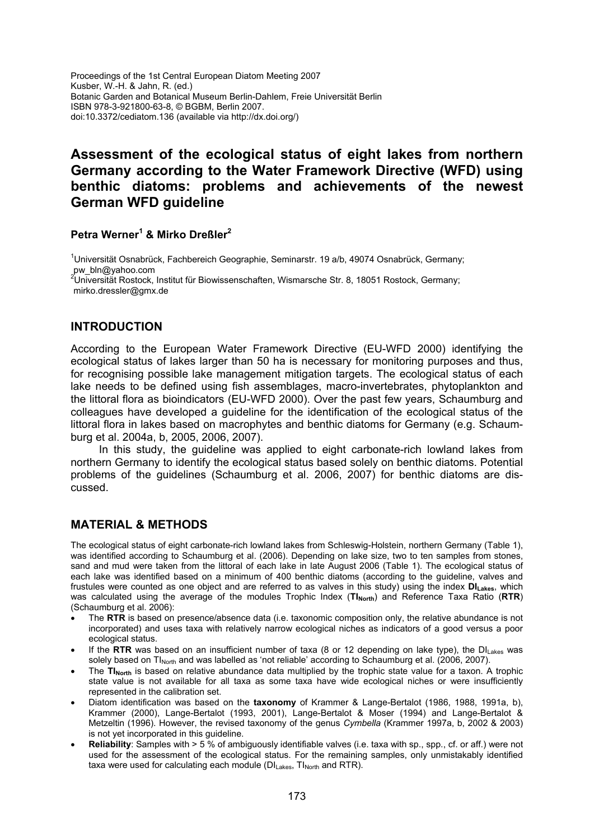Proceedings of the 1st Central European Diatom Meeting 2007 Kusber, W.-H. & Jahn, R. (ed.) Botanic Garden and Botanical Museum Berlin-Dahlem, Freie Universität Berlin ISBN 978-3-921800-63-8, © BGBM, Berlin 2007. doi:10.3372/cediatom.136 (available via http://dx.doi.org/)

# **Assessment of the ecological status of eight lakes from northern Germany according to the Water Framework Directive (WFD) using benthic diatoms: problems and achievements of the newest German WFD guideline**

## **Petra Werner<sup>1</sup> & Mirko Dreßler2**

<sup>1</sup>Universität Osnabrück, Fachbereich Geographie, Seminarstr. 19 a/b, 49074 Osnabrück, Germany;

pw\_bln@yahoo.com<br><sup>2</sup>Universität Rostock, Institut für Biowissenschaften, Wismarsche Str. 8, 18051 Rostock, Germany; mirko.dressler@gmx.de

## **INTRODUCTION**

According to the European Water Framework Directive (EU-WFD 2000) identifying the ecological status of lakes larger than 50 ha is necessary for monitoring purposes and thus, for recognising possible lake management mitigation targets. The ecological status of each lake needs to be defined using fish assemblages, macro-invertebrates, phytoplankton and the littoral flora as bioindicators (EU-WFD 2000). Over the past few years, Schaumburg and colleagues have developed a guideline for the identification of the ecological status of the littoral flora in lakes based on macrophytes and benthic diatoms for Germany (e.g. Schaumburg et al. 2004a, b, 2005, 2006, 2007).

In this study, the guideline was applied to eight carbonate-rich lowland lakes from northern Germany to identify the ecological status based solely on benthic diatoms. Potential problems of the guidelines (Schaumburg et al. 2006, 2007) for benthic diatoms are discussed.

#### **MATERIAL & METHODS**

The ecological status of eight carbonate-rich lowland lakes from Schleswig-Holstein, northern Germany (Table 1), was identified according to Schaumburg et al. (2006). Depending on lake size, two to ten samples from stones, sand and mud were taken from the littoral of each lake in late August 2006 (Table 1). The ecological status of each lake was identified based on a minimum of 400 benthic diatoms (according to the guideline, valves and frustules were counted as one object and are referred to as valves in this study) using the index **DILakes**, which was calculated using the average of the modules Trophic Index (TI<sub>North</sub>) and Reference Taxa Ratio (RTR) (Schaumburg et al. 2006):

- The **RTR** is based on presence/absence data (i.e. taxonomic composition only, the relative abundance is not incorporated) and uses taxa with relatively narrow ecological niches as indicators of a good versus a poor ecological status.
- If the **RTR** was based on an insufficient number of taxa (8 or 12 depending on lake type), the DIL<sub>akes</sub> was solely based on TI<sub>North</sub> and was labelled as 'not reliable' according to Schaumburg et al. (2006, 2007).
- The **TI<sub>North</sub>** is based on relative abundance data multiplied by the trophic state value for a taxon. A trophic state value is not available for all taxa as some taxa have wide ecological niches or were insufficiently represented in the calibration set.
- Diatom identification was based on the **taxonomy** of Krammer & Lange-Bertalot (1986, 1988, 1991a, b), Krammer (2000), Lange-Bertalot (1993, 2001), Lange-Bertalot & Moser (1994) and Lange-Bertalot & Metzeltin (1996). However, the revised taxonomy of the genus *Cymbella* (Krammer 1997a, b, 2002 & 2003) is not yet incorporated in this guideline.
- **Reliability**: Samples with > 5 % of ambiguously identifiable valves (i.e. taxa with sp., spp., cf. or aff.) were not used for the assessment of the ecological status. For the remaining samples, only unmistakably identified taxa were used for calculating each module (DI<sub>Lakes</sub>, TI<sub>North</sub> and RTR).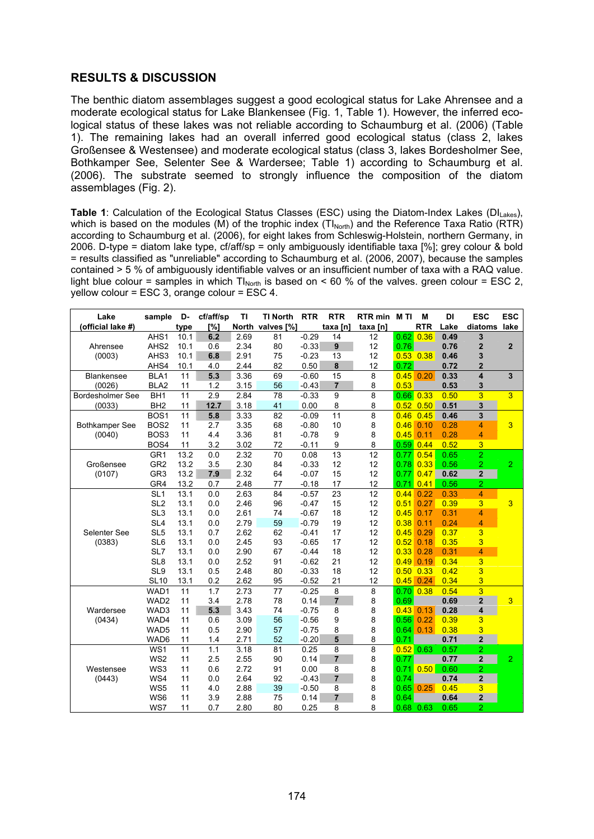## **RESULTS & DISCUSSION**

The benthic diatom assemblages suggest a good ecological status for Lake Ahrensee and a moderate ecological status for Lake Blankensee (Fig. 1, Table 1). However, the inferred ecological status of these lakes was not reliable according to Schaumburg et al. (2006) (Table 1). The remaining lakes had an overall inferred good ecological status (class 2, lakes Großensee & Westensee) and moderate ecological status (class 3, lakes Bordesholmer See, Bothkamper See, Selenter See & Wardersee; Table 1) according to Schaumburg et al. (2006). The substrate seemed to strongly influence the composition of the diatom assemblages (Fig. 2).

**Table 1**: Calculation of the Ecological Status Classes (ESC) using the Diatom-Index Lakes (DI<sub>Lakes</sub>), which is based on the modules (M) of the trophic index  $(TI_{\text{North}})$  and the Reference Taxa Ratio (RTR) according to Schaumburg et al. (2006), for eight lakes from Schleswig-Holstein, northern Germany, in 2006. D-type = diatom lake type, cf/aff/sp = only ambiguously identifiable taxa [%]; grey colour & bold = results classified as "unreliable" according to Schaumburg et al. (2006, 2007), because the samples contained > 5 % of ambiguously identifiable valves or an insufficient number of taxa with a RAQ value. light blue colour = samples in which  $T_{\text{North}}$  is based on < 60 % of the valves. green colour = ESC 2, yellow colour = ESC 3, orange colour = ESC 4.

| Lake                    | sample           | D-   | cf/aff/sp | ΤI   | <b>TI North</b>  | <b>RTR</b> | <b>RTR</b>     | RTR min M TI |      | M             | DI   | <b>ESC</b>              | <b>ESC</b>     |
|-------------------------|------------------|------|-----------|------|------------------|------------|----------------|--------------|------|---------------|------|-------------------------|----------------|
| (official lake #)       |                  | type | [%]       |      | North valves [%] |            | taxa [n]       | taxa [n]     |      | <b>RTR</b>    | Lake | diatoms                 | lake           |
|                         | AHS1             | 10.1 | 6.2       | 2.69 | 81               | $-0.29$    | 14             | 12           | 0.62 | 0.36          | 0.49 | 3                       |                |
| Ahrensee                | AHS <sub>2</sub> | 10.1 | 0.6       | 2.34 | 80               | $-0.33$    | 9              | 12           | 0.76 |               | 0.76 | $\overline{\mathbf{2}}$ | $\overline{2}$ |
| (0003)                  | AHS3             | 10.1 | 6.8       | 2.91 | 75               | $-0.23$    | 13             | 12           |      | $0.53$ $0.38$ | 0.46 | 3                       |                |
|                         | AHS4             | 10.1 | 4.0       | 2.44 | 82               | 0.50       | $\pmb{8}$      | 12           | 0.72 |               | 0.72 | $\overline{2}$          |                |
| <b>Blankensee</b>       | BLA <sub>1</sub> | 11   | 5.3       | 3.36 | 69               | $-0.60$    | 15             | 8            | 0.45 | 0.20          | 0.33 | $\overline{\mathbf{4}}$ | 3              |
| (0026)                  | BLA <sub>2</sub> | 11   | 1.2       | 3.15 | 56               | $-0.43$    | $\overline{7}$ | 8            | 0.53 |               | 0.53 | 3                       |                |
| <b>Bordesholmer See</b> | BH <sub>1</sub>  | 11   | 2.9       | 2.84 | 78               | $-0.33$    | $\overline{9}$ | 8            |      | $0.66$ $0.33$ | 0.50 | $\overline{3}$          | $\overline{3}$ |
| (0033)                  | BH <sub>2</sub>  | 11   | 12.7      | 3.18 | 41               | 0.00       | 8              | 8            |      | $0.52$ $0.50$ | 0.51 | 3                       |                |
|                         | BOS <sub>1</sub> | 11   | 5.8       | 3.33 | 82               | $-0.09$    | 11             | 8            | 0.46 | 0.45          | 0.46 | 3                       |                |
| <b>Bothkamper See</b>   | BOS <sub>2</sub> | 11   | 2.7       | 3.35 | 68               | $-0.80$    | 10             | 8            | 0.46 | 0.10          | 0.28 | 4                       | 3              |
| (0040)                  | BOS <sub>3</sub> | 11   | 4.4       | 3.36 | 81               | $-0.78$    | 9              | 8            | 0.45 | 0.11          | 0.28 | 4                       |                |
|                         | BOS4             | 11   | 3.2       | 3.02 | 72               | $-0.11$    | 9              | 8            |      | $0.59$ 0.44   | 0.52 | 3                       |                |
|                         | GR <sub>1</sub>  | 13.2 | 0.0       | 2.32 | 70               | 0.08       | 13             | 12           | 0.77 | 0.54          | 0.65 | $\overline{2}$          |                |
| Großensee               | GR <sub>2</sub>  | 13.2 | 3.5       | 2.30 | 84               | $-0.33$    | 12             | 12           | 0.78 | 0.33          | 0.56 | $\overline{2}$          | $\overline{2}$ |
| (0107)                  | GR <sub>3</sub>  | 13.2 | 7.9       | 2.32 | 64               | $-0.07$    | 15             | 12           | 0.77 | 0.47          | 0.62 | $\mathbf 2$             |                |
|                         | GR4              | 13.2 | 0.7       | 2.48 | 77               | $-0.18$    | 17             | 12           | 0.71 | 0.41          | 0.56 | 2                       |                |
|                         | SL <sub>1</sub>  | 13.1 | 0.0       | 2.63 | 84               | $-0.57$    | 23             | 12           | 0.44 | 0.22          | 0.33 | 4                       |                |
|                         | SL <sub>2</sub>  | 13.1 | 0.0       | 2.46 | 96               | $-0.47$    | 15             | 12           | 0.51 | 0.27          | 0.39 | $\overline{3}$          | $\overline{3}$ |
|                         | SL <sub>3</sub>  | 13.1 | 0.0       | 2.61 | 74               | $-0.67$    | 18             | 12           | 0.45 | 0.17          | 0.31 | 4                       |                |
|                         | SL <sub>4</sub>  | 13.1 | 0.0       | 2.79 | 59               | $-0.79$    | 19             | 12           | 0.38 | 0.11          | 0.24 | 4                       |                |
| Selenter See            | SL <sub>5</sub>  | 13.1 | 0.7       | 2.62 | 62               | $-0.41$    | 17             | 12           | 0.45 | 0.29          | 0.37 | 3                       |                |
| (0383)                  | SL <sub>6</sub>  | 13.1 | 0.0       | 2.45 | 93               | $-0.65$    | 17             | 12           | 0.52 | 0.18          | 0.35 | 3                       |                |
|                         | SL7              | 13.1 | 0.0       | 2.90 | 67               | $-0.44$    | 18             | 12           | 0.33 | 0.28          | 0.31 | 4                       |                |
|                         | SL <sub>8</sub>  | 13.1 | 0.0       | 2.52 | 91               | $-0.62$    | 21             | 12           | 0.49 | 0.19          | 0.34 | 3                       |                |
|                         | SL <sub>9</sub>  | 13.1 | 0.5       | 2.48 | 80               | $-0.33$    | 18             | 12           | 0.50 | 0.33          | 0.42 | 3                       |                |
|                         | <b>SL10</b>      | 13.1 | 0.2       | 2.62 | 95               | $-0.52$    | 21             | 12           | 0.45 | 0.24          | 0.34 | 3                       |                |
|                         | WAD1             | 11   | 1.7       | 2.73 | 77               | $-0.25$    | 8              | 8            |      | $0.70 \ 0.38$ | 0.54 | $\overline{3}$          |                |
|                         | WAD2             | 11   | 3.4       | 2.78 | 78               | 0.14       | $\overline{7}$ | 8            | 0.69 |               | 0.69 | $\overline{2}$          | $\overline{3}$ |
| Wardersee               | WAD3             | 11   | 5.3       | 3.43 | 74               | $-0.75$    | 8              | 8            | 0.43 | 0.13          | 0.28 | $\pmb{4}$               |                |
| (0434)                  | WAD4             | 11   | 0.6       | 3.09 | 56               | $-0.56$    | 9              | 8            | 0.56 | 0.22          | 0.39 | 3                       |                |
|                         | WAD5             | 11   | 0.5       | 2.90 | 57               | $-0.75$    | 8              | 8            | 0.64 | 0.13          | 0.38 | 3                       |                |
|                         | WAD6             | 11   | 1.4       | 2.71 | 52               | $-0.20$    | 5              | 8            | 0.71 |               | 0.71 | $\overline{2}$          |                |
|                         | WS1              | 11   | 1.1       | 3.18 | 81               | 0.25       | 8              | 8            | 0.52 | 0.63          | 0.57 | 2                       |                |
|                         | WS <sub>2</sub>  | 11   | 2.5       | 2.55 | 90               | 0.14       | $\overline{7}$ | 8            | 0.77 |               | 0.77 | $\mathbf 2$             | $\overline{2}$ |
| Westensee               | WS3              | 11   | 0.6       | 2.72 | 91               | 0.00       | 8              | 8            | 0.71 | 0.50          | 0.60 | 2                       |                |
| (0443)                  | WS4              | 11   | 0.0       | 2.64 | 92               | $-0.43$    | $\overline{7}$ | 8            | 0.74 |               | 0.74 | $\mathbf 2$             |                |
|                         | WS5              | 11   | 4.0       | 2.88 | 39               | $-0.50$    | 8              | 8            | 0.65 | 0.25          | 0.45 | 3                       |                |
|                         | WS6              | 11   | 3.9       | 2.88 | 75               | 0.14       | $\overline{7}$ | 8            | 0.64 |               | 0.64 | 2                       |                |
|                         | WS7              | 11   | 0.7       | 2.80 | 80               | 0.25       | 8              | 8            | 0.68 | 0.63          | 0.65 | $\overline{2}$          |                |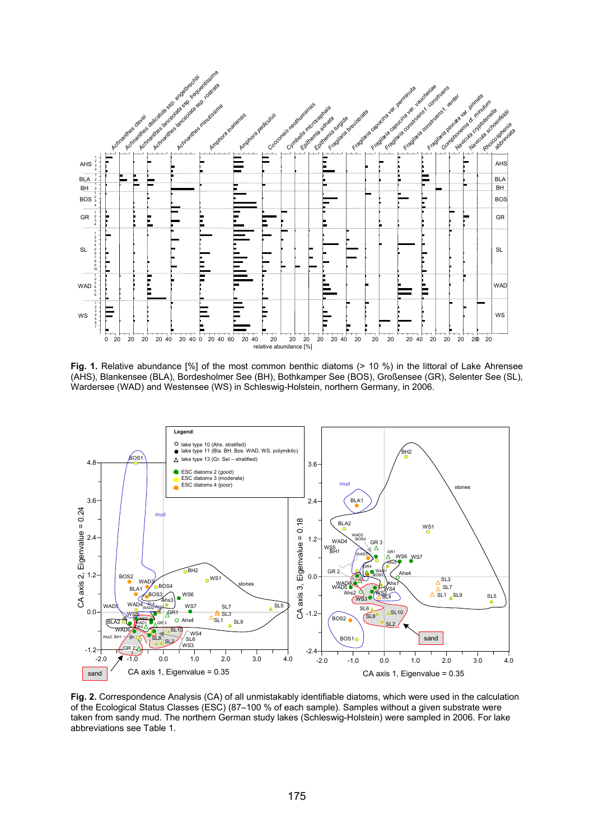

**Fig. 1.** Relative abundance [%] of the most common benthic diatoms (> 10 %) in the littoral of Lake Ahrensee (AHS), Blankensee (BLA), Bordesholmer See (BH), Bothkamper See (BOS), Großensee (GR), Selenter See (SL), Wardersee (WAD) and Westensee (WS) in Schleswig-Holstein, northern Germany, in 2006.



**Fig. 2.** Correspondence Analysis (CA) of all unmistakably identifiable diatoms, which were used in the calculation of the Ecological Status Classes (ESC) (87–100 % of each sample). Samples without a given substrate were taken from sandy mud. The northern German study lakes (Schleswig-Holstein) were sampled in 2006. For lake abbreviations see Table 1.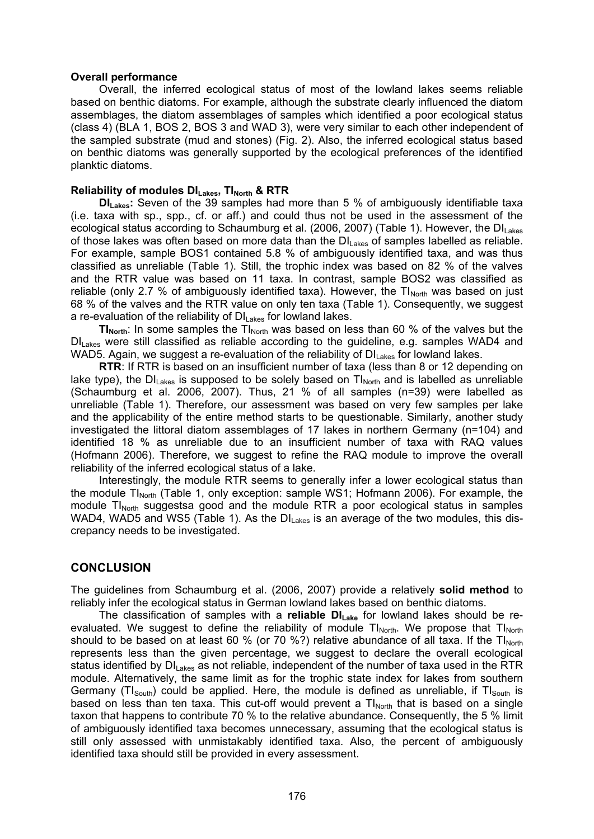#### **Overall performance**

Overall, the inferred ecological status of most of the lowland lakes seems reliable based on benthic diatoms. For example, although the substrate clearly influenced the diatom assemblages, the diatom assemblages of samples which identified a poor ecological status (class 4) (BLA 1, BOS 2, BOS 3 and WAD 3), were very similar to each other independent of the sampled substrate (mud and stones) (Fig. 2). Also, the inferred ecological status based on benthic diatoms was generally supported by the ecological preferences of the identified planktic diatoms.

#### **Reliability of modules DILAKES, TINOTER & RTR**

**DILakes:** Seven of the 39 samples had more than 5 % of ambiguously identifiable taxa (i.e. taxa with sp., spp., cf. or aff.) and could thus not be used in the assessment of the ecological status according to Schaumburg et al. (2006, 2007) (Table 1). However, the DILakes of those lakes was often based on more data than the  $DI<sub>Lakes</sub>$  of samples labelled as reliable. For example, sample BOS1 contained 5.8 % of ambiguously identified taxa, and was thus classified as unreliable (Table 1). Still, the trophic index was based on 82 % of the valves and the RTR value was based on 11 taxa. In contrast, sample BOS2 was classified as reliable (only 2.7 % of ambiguously identified taxa). However, the  $TI_{\text{North}}$  was based on just 68 % of the valves and the RTR value on only ten taxa (Table 1). Consequently, we suggest a re-evaluation of the reliability of  $DI_{\text{Lakes}}$  for lowland lakes.

**TI<sub>North</sub>**: In some samples the TI<sub>North</sub> was based on less than 60 % of the valves but the DILakes were still classified as reliable according to the guideline, e.g. samples WAD4 and WAD5. Again, we suggest a re-evaluation of the reliability of  $DI<sub>Lakes</sub>$  for lowland lakes.

**RTR**: If RTR is based on an insufficient number of taxa (less than 8 or 12 depending on lake type), the  $DI<sub>Lakes</sub>$  is supposed to be solely based on  $TI<sub>North</sub>$  and is labelled as unreliable (Schaumburg et al. 2006, 2007). Thus, 21 % of all samples (n=39) were labelled as unreliable (Table 1). Therefore, our assessment was based on very few samples per lake and the applicability of the entire method starts to be questionable. Similarly, another study investigated the littoral diatom assemblages of 17 lakes in northern Germany (n=104) and identified 18 % as unreliable due to an insufficient number of taxa with RAQ values (Hofmann 2006). Therefore, we suggest to refine the RAQ module to improve the overall reliability of the inferred ecological status of a lake.

Interestingly, the module RTR seems to generally infer a lower ecological status than the module  $TI_{\text{North}}$  (Table 1, only exception: sample WS1; Hofmann 2006). For example, the module TI<sub>North</sub> suggestsa good and the module RTR a poor ecological status in samples WAD4, WAD5 and WS5 (Table 1). As the  $DI<sub>Lakes</sub>$  is an average of the two modules, this discrepancy needs to be investigated.

## **CONCLUSION**

The guidelines from Schaumburg et al. (2006, 2007) provide a relatively **solid method** to reliably infer the ecological status in German lowland lakes based on benthic diatoms.

The classification of samples with a **reliable DILake** for lowland lakes should be reevaluated. We suggest to define the reliability of module  $TI_{North}$ . We propose that  $TI_{North}$ should to be based on at least 60 % (or 70 %?) relative abundance of all taxa. If the  $T_{\text{North}}$ represents less than the given percentage, we suggest to declare the overall ecological status identified by  $DI<sub>Lakes</sub>$  as not reliable, independent of the number of taxa used in the RTR module. Alternatively, the same limit as for the trophic state index for lakes from southern Germany ( $TI_{South}$ ) could be applied. Here, the module is defined as unreliable, if  $TI_{South}$  is based on less than ten taxa. This cut-off would prevent a  $TI_{\text{North}}$  that is based on a single taxon that happens to contribute 70 % to the relative abundance. Consequently, the 5 % limit of ambiguously identified taxa becomes unnecessary, assuming that the ecological status is still only assessed with unmistakably identified taxa. Also, the percent of ambiguously identified taxa should still be provided in every assessment.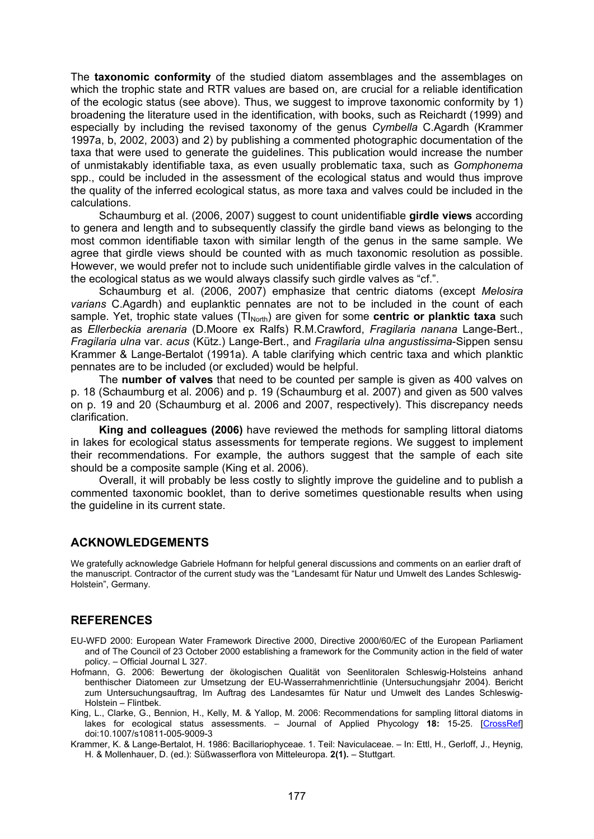The **taxonomic conformity** of the studied diatom assemblages and the assemblages on which the trophic state and RTR values are based on, are crucial for a reliable identification of the ecologic status (see above). Thus, we suggest to improve taxonomic conformity by 1) broadening the literature used in the identification, with books, such as Reichardt (1999) and especially by including the revised taxonomy of the genus *Cymbella* C.Agardh (Krammer 1997a, b, 2002, 2003) and 2) by publishing a commented photographic documentation of the taxa that were used to generate the guidelines. This publication would increase the number of unmistakably identifiable taxa, as even usually problematic taxa, such as *Gomphonema*  spp., could be included in the assessment of the ecological status and would thus improve the quality of the inferred ecological status, as more taxa and valves could be included in the calculations.

Schaumburg et al. (2006, 2007) suggest to count unidentifiable **girdle views** according to genera and length and to subsequently classify the girdle band views as belonging to the most common identifiable taxon with similar length of the genus in the same sample. We agree that girdle views should be counted with as much taxonomic resolution as possible. However, we would prefer not to include such unidentifiable girdle valves in the calculation of the ecological status as we would always classify such girdle valves as "cf.".

Schaumburg et al. (2006, 2007) emphasize that centric diatoms (except *Melosira varians* C.Agardh) and euplanktic pennates are not to be included in the count of each sample. Yet, trophic state values (TI<sub>North</sub>) are given for some **centric or planktic taxa** such as *Ellerbeckia arenaria* (D.Moore ex Ralfs) R.M.Crawford, *Fragilaria nanana* Lange-Bert., *Fragilaria ulna* var. *acus* (Kütz.) Lange-Bert., and *Fragilaria ulna angustissima*-Sippen sensu Krammer & Lange-Bertalot (1991a). A table clarifying which centric taxa and which planktic pennates are to be included (or excluded) would be helpful.

The **number of valves** that need to be counted per sample is given as 400 valves on p. 18 (Schaumburg et al. 2006) and p. 19 (Schaumburg et al. 2007) and given as 500 valves on p. 19 and 20 (Schaumburg et al. 2006 and 2007, respectively). This discrepancy needs clarification.

**King and colleagues (2006)** have reviewed the methods for sampling littoral diatoms in lakes for ecological status assessments for temperate regions. We suggest to implement their recommendations. For example, the authors suggest that the sample of each site should be a composite sample (King et al. 2006).

Overall, it will probably be less costly to slightly improve the guideline and to publish a commented taxonomic booklet, than to derive sometimes questionable results when using the guideline in its current state.

## **ACKNOWLEDGEMENTS**

We gratefully acknowledge Gabriele Hofmann for helpful general discussions and comments on an earlier draft of the manuscript. Contractor of the current study was the "Landesamt für Natur und Umwelt des Landes Schleswig-Holstein", Germany.

## **REFERENCES**

- EU-WFD 2000: European Water Framework Directive 2000, Directive 2000/60/EC of the European Parliament and of The Council of 23 October 2000 establishing a framework for the Community action in the field of water policy. – Official Journal L 327.
- Hofmann, G. 2006: Bewertung der ökologischen Qualität von Seenlitoralen Schleswig-Holsteins anhand benthischer Diatomeen zur Umsetzung der EU-Wasserrahmenrichtlinie (Untersuchungsjahr 2004). Bericht zum Untersuchungsauftrag, Im Auftrag des Landesamtes für Natur und Umwelt des Landes Schleswig-Holstein – Flintbek.
- King, L., Clarke, G., Bennion, H., Kelly, M. & Yallop, M. 2006: Recommendations for sampling littoral diatoms in lakes for ecological status assessments. – Journal of Applied Phycology **18:** 15-25. [\[CrossRef\]](http://dx.doi.org/10.1007/s10811-005-9009-3) doi:10.1007/s10811-005-9009-3
- Krammer, K. & Lange-Bertalot, H. 1986: Bacillariophyceae. 1. Teil: Naviculaceae. In: Ettl, H., Gerloff, J., Heynig, H. & Mollenhauer, D. (ed.): Süßwasserflora von Mitteleuropa. **2(1).** – Stuttgart.